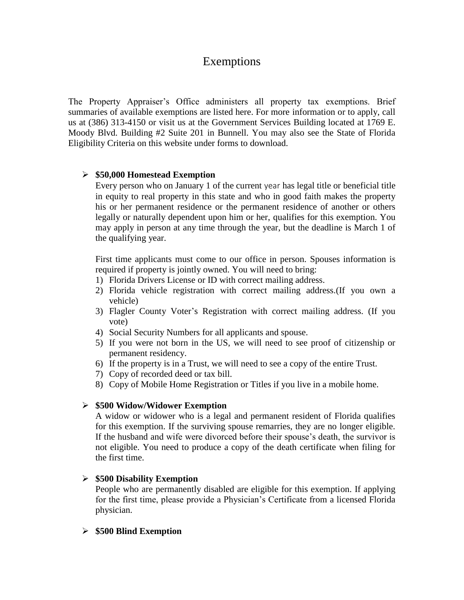# Exemptions

The Property Appraiser's Office administers all property tax exemptions. Brief summaries of available exemptions are listed here. For more information or to apply, call us at (386) 313-4150 or visit us at the Government Services Building located at 1769 E. Moody Blvd. Building #2 Suite 201 in Bunnell. You may also see the State of Florida Eligibility Criteria on this website under forms to download.

## **\$50,000 Homestead Exemption**

Every person who on January 1 of the current year has legal title or beneficial title in equity to real property in this state and who in good faith makes the property his or her permanent residence or the permanent residence of another or others legally or naturally dependent upon him or her, qualifies for this exemption. You may apply in person at any time through the year, but the deadline is March 1 of the qualifying year.

First time applicants must come to our office in person. Spouses information is required if property is jointly owned. You will need to bring:

- 1) Florida Drivers License or ID with correct mailing address.
- 2) Florida vehicle registration with correct mailing address.(If you own a vehicle)
- 3) Flagler County Voter's Registration with correct mailing address. (If you vote)
- 4) Social Security Numbers for all applicants and spouse.
- 5) If you were not born in the US, we will need to see proof of citizenship or permanent residency.
- 6) If the property is in a Trust, we will need to see a copy of the entire Trust.
- 7) Copy of recorded deed or tax bill.
- 8) Copy of Mobile Home Registration or Titles if you live in a mobile home.

### **\$500 Widow/Widower Exemption**

A widow or widower who is a legal and permanent resident of Florida qualifies for this exemption. If the surviving spouse remarries, they are no longer eligible. If the husband and wife were divorced before their spouse's death, the survivor is not eligible. You need to produce a copy of the death certificate when filing for the first time.

### **\$500 Disability Exemption**

People who are permanently disabled are eligible for this exemption. If applying for the first time, please provide a Physician's Certificate from a licensed Florida physician.

### **\$500 Blind Exemption**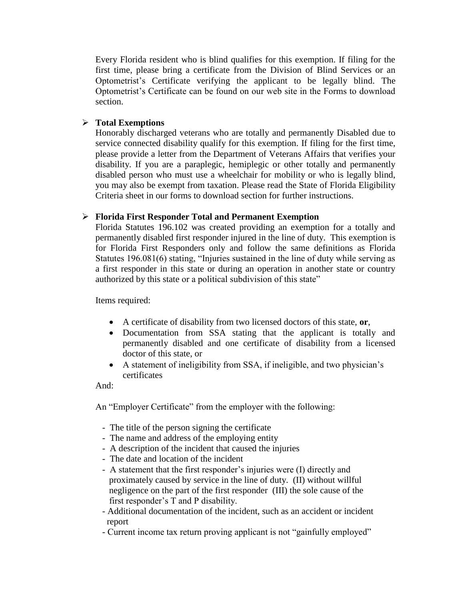Every Florida resident who is blind qualifies for this exemption. If filing for the first time, please bring a certificate from the Division of Blind Services or an Optometrist's Certificate verifying the applicant to be legally blind. The Optometrist's Certificate can be found on our web site in the Forms to download section.

# **Total Exemptions**

Honorably discharged veterans who are totally and permanently Disabled due to service connected disability qualify for this exemption. If filing for the first time, please provide a letter from the Department of Veterans Affairs that verifies your disability. If you are a paraplegic, hemiplegic or other totally and permanently disabled person who must use a wheelchair for mobility or who is legally blind, you may also be exempt from taxation. Please read the State of Florida Eligibility Criteria sheet in our forms to download section for further instructions.

# **Florida First Responder Total and Permanent Exemption**

Florida Statutes 196.102 was created providing an exemption for a totally and permanently disabled first responder injured in the line of duty. This exemption is for Florida First Responders only and follow the same definitions as Florida Statutes 196.081(6) stating, "Injuries sustained in the line of duty while serving as a first responder in this state or during an operation in another state or country authorized by this state or a political subdivision of this state"

Items required:

- A certificate of disability from two licensed doctors of this state, **or**,
- Documentation from SSA stating that the applicant is totally and permanently disabled and one certificate of disability from a licensed doctor of this state, or
- A statement of ineligibility from SSA, if ineligible, and two physician's certificates

And:

An "Employer Certificate" from the employer with the following:

- The title of the person signing the certificate
- The name and address of the employing entity
- A description of the incident that caused the injuries
- The date and location of the incident
- A statement that the first responder's injuries were (I) directly and proximately caused by service in the line of duty. (II) without willful negligence on the part of the first responder (III) the sole cause of the first responder's T and P disability.
- Additional documentation of the incident, such as an accident or incident report
- Current income tax return proving applicant is not "gainfully employed"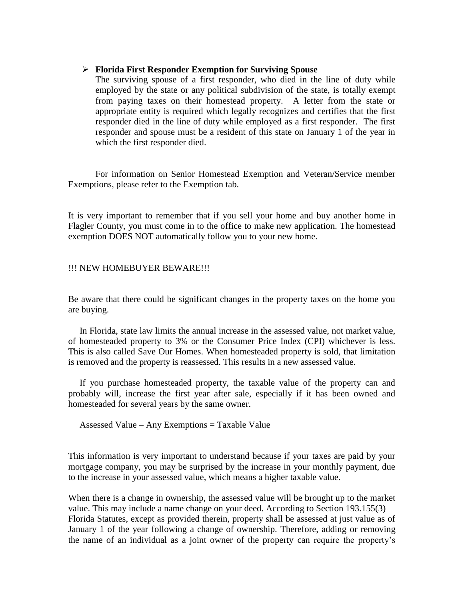#### **Florida First Responder Exemption for Surviving Spouse**

The surviving spouse of a first responder, who died in the line of duty while employed by the state or any political subdivision of the state, is totally exempt from paying taxes on their homestead property. A letter from the state or appropriate entity is required which legally recognizes and certifies that the first responder died in the line of duty while employed as a first responder. The first responder and spouse must be a resident of this state on January 1 of the year in which the first responder died.

 For information on Senior Homestead Exemption and Veteran/Service member Exemptions, please refer to the Exemption tab.

It is very important to remember that if you sell your home and buy another home in Flagler County, you must come in to the office to make new application. The homestead exemption DOES NOT automatically follow you to your new home.

#### !!! NEW HOMEBUYER BEWARE!!!

Be aware that there could be significant changes in the property taxes on the home you are buying.

 In Florida, state law limits the annual increase in the assessed value, not market value, of homesteaded property to 3% or the Consumer Price Index (CPI) whichever is less. This is also called Save Our Homes. When homesteaded property is sold, that limitation is removed and the property is reassessed. This results in a new assessed value.

 If you purchase homesteaded property, the taxable value of the property can and probably will, increase the first year after sale, especially if it has been owned and homesteaded for several years by the same owner.

Assessed Value – Any Exemptions = Taxable Value

This information is very important to understand because if your taxes are paid by your mortgage company, you may be surprised by the increase in your monthly payment, due to the increase in your assessed value, which means a higher taxable value.

When there is a change in ownership, the assessed value will be brought up to the market value. This may include a name change on your deed. According to Section 193.155(3) Florida Statutes, except as provided therein, property shall be assessed at just value as of January 1 of the year following a change of ownership. Therefore, adding or removing the name of an individual as a joint owner of the property can require the property's